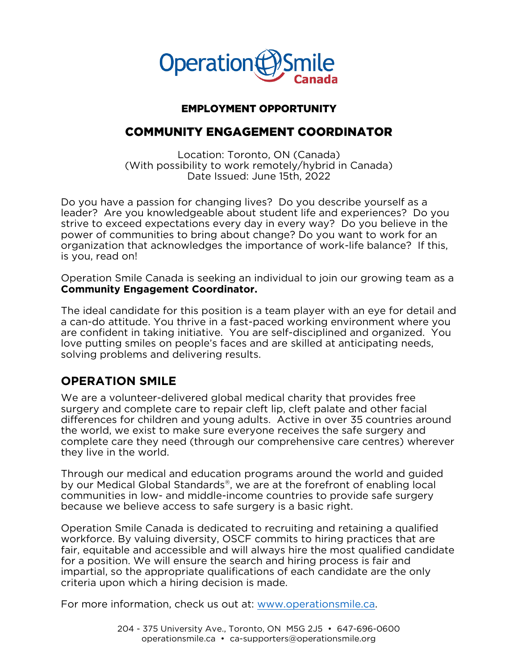

### **EMPLOYMENT OPPORTUNITY**

### **COMMUNITY ENGAGEMENT COORDINATOR**

Location: Toronto, ON (Canada) (With possibility to work remotely/hybrid in Canada) Date Issued: June 15th, 2022 Date Issued: June 15th, 2022

Do you have a passion for changing lives? Do you describe yourself as a<br>leader? Are you knowledgeable about student life and experiences? Do you strive to exceed expectations every day in every way? Do you believe in the power of communities to bring about change? Do you want to work for an organization that acknowledges the importance of work-life balance? If this, is you, read on!  $\sum_{i=1}^{n}$ 

Operation Smile Canada is seeking an individual to join our growing team as a **Community Engagement Coordinator. Community Engagement Coordinator.**

The ideal candidate for this position is a team player with an eye for detail and<br>a can-do attitude. You thrive in a fast-paced working environment where you are confident in taking initiative. You are self-disciplined and organized. You love putting smiles on people's faces and are skilled at anticipating needs, solving problems and delivering results. solving problems and delivering results.

### **OPERATION SMILE**

We are a volunteer-delivered global medical charity that provides free surgery and complete care to repair cleft lip, cleft palate and other facial differences for children and voung adults. Active in over 35 countries around the world, we exist to make sure everyone receives the safe surgery and complete care they need (through our comprehensive care centres) wherever they live in the world. they live in the world.

Through our medical and education programs around the world and guided<br>by our Medical Global Standards®, we are at the forefront of enabling local by our medical Global Standards®, we are at the forefront of enabling local<br>communities in low- and middle-income countries to provide safe surgery because we believe access to safe surgery is a basic right. because we believe access to safe surgery is a basic right.

Operation Smile Canada is dedicated to recruiting and retaining a qualified fair, equitable and accessible and will always hire the most qualified candidate for a position. We will ensure the search and hiring process is fair and impartial, so the appropriate qualifications of each candidate are the only criteria upon which a hiring decision is made. criteria upon which a hiring decision is made.

For more information, check us out at: [www.operationsmile.ca.](http://www.operationsmile.ca/)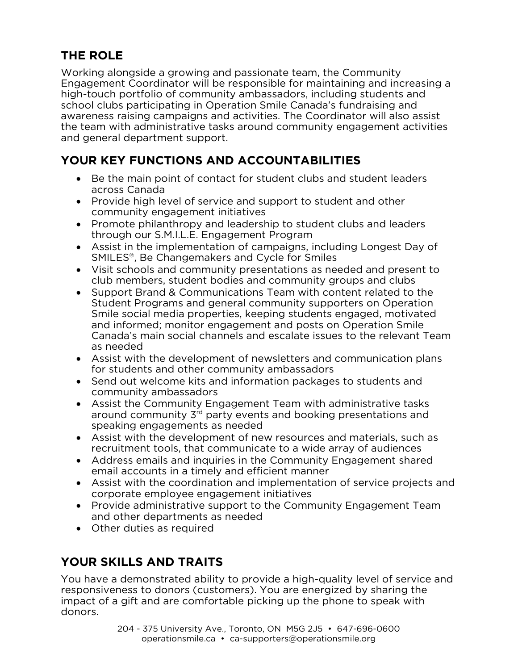### **THE ROLE**

Working alongside a growing and passionate team, the Community Engagement Coordinator will be responsible for maintaining and increasing a high-touch portfolio of community ambassadors, including students and school clubs participating in Operation Smile Canada's fundraising and awareness raising campaigns and activities. The Coordinator will also assist the team with administrative tasks around community engagement activities. and general department support. and general department support.

## **YOUR KEY FUNCTIONS AND ACCOUNTABILITIES**

- **YOUR KEY FUNCTIONS AND ACCOUNTABILITIES** ● Be the main point of contact for student clubs and student leaders<br>across Canada
	- Provide high level of service and support to student and other community engagement initiatives
	- Promote philanthropy and leadership to student clubs and leaders<br>through our S.M.I.I.F. Fngagement Program
	- Assist in the implementation of campaigns, including Longest Day of SMII  $FS^{\circ}$ . Be Changemakers and Cycle for Smiles
	- SMILES®, Be Changemakers and Cycle for Smiles<br>• Visit schools and community presentations as needed and present to<br>• Club members, student bodies and community groups and clubs
	- Support Brand & Communications Team with content related to the<br>Student Programs and general community supporters on Operation Student Programs and general community supporters on Operation<br>Smile social media properties, keeping students engaged, motivated and informed; monitor engagement and posts on Operation Smile Canada's main social channels and escalate issues to the relevant Team as needed
	- Assist with the development of newsletters and communication plans for students and other community ambassadors
	- Send out welcome kits and information packages to students and community ambassadors community ambassadors<br>• Assist the Community Engagement Team with administrative tasks
	- Assist the Community Engagement Team with administrative tasks<br>around community  $3^{rd}$  party events and booking presentations and around community 3 r party events and booking presentations and<br>speaking engagements as needed
	- Assist with the development of new resources and materials, such as recruitment tools, that communicate to a wide array of audiences
	- Address emails and inquiries in the Community Engagement shared<br>
	email accounts in a timely and efficient manner
	- Assist with the coordination and implementation of service projects and corporate employee engagement initiatives
	- Provide administrative support to the Community Engagement Team<br>and other departments as needed
	- Other duties as required

## **YOUR SKILLS AND TRAITS**

You have a demonstrated ability to provide a high-quality level of service and responsiveness to donors (customers). You are energized by sharing the impact of a gift and are comfortable picking up the phone to speak with  $\frac{1}{2}$  donors. donors.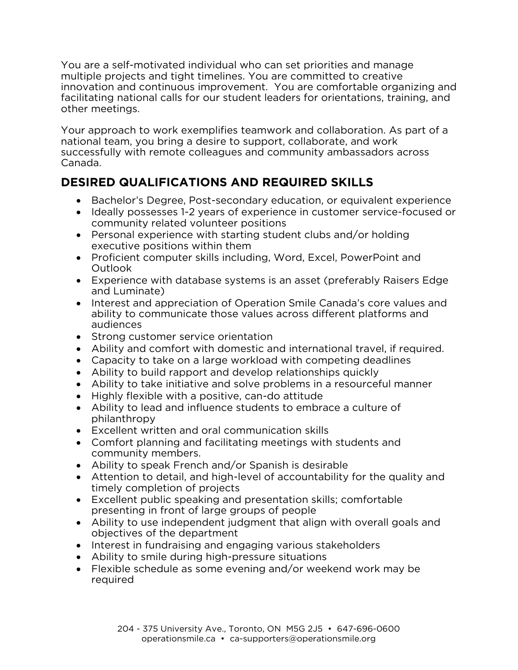You are a self-motivated individual who can set priorities and manage<br>multiple projects and tight timelines. You are committed to creative innovation and continuous improvement. You are comfortable organizing and facilitating national calls for our student leaders for orientations, training, and other meetings. other meetings.

Your approach to work exemplifies teamwork and collaboration. As part of a national team, you bring a desire to support, collaborate, and work successfully with remote colleagues and community ambassadors a succession, with remote colleagues and community ambassadors across Canada.

- **DESIRED QUALIFICATIONS AND REQUIRED SKILLS Bachelor's Degree, Post-secondary education, or equivalent experience**<br>• Ideally possesses 1-2 vears of experience in customer service-focused o
	- Ideally possesses 1-2 years of experience in customer service-focused or community related volunteer positions
	- Personal experience with starting student clubs and/or holding executive positions within them
	- Proficient computer skills including, Word, Excel, PowerPoint and<br>Outlook
	- Experience with database systems is an asset (preferably Raisers Edge and Luminate)
	- Interest and appreciation of Operation Smile Canada's core values and<br>ability to communicate those values across different platforms and ability to communicate those values across different platforms and audiences
	- Strong customer service orientation<br>• Ability and comfort with domestic a
	- Ability and comfort with domestic and international travel, if required.
	- Capacity to take on a large workload with competing deadlines
	- Ability to build rapport and develop relationships quickly
	- Ability to take initiative and solve problems in a resourceful manner
	- Highly flexible with a positive, can-do attitude
	- Ability to lead and influence students to embrace a culture of philanthropy
	- Excellent written and oral communication skills<br>• Comfort planning and facilitating meetings with
	- Comfort planning and facilitating meetings with students and community members.
	- Ability to speak French and/or Spanish is desirable<br>• Attention to detail and bigh-level of accountability
	- Attention to detail, and high-level of accountability for the quality and timely completion of projects
	- Excellent public speaking and presentation skills; comfortable<br>presenting in front of large groups of people
	- Ability to use independent judgment that align with overall goals and objectives of the department
	- Interest in fundraising and engaging various stakeholders<br>
	Ability to smile during high-pressure situations
	- Ability to smile during high-pressure situations
	- Flexible schedule as some evening and/or weekend work may be required:<br>.